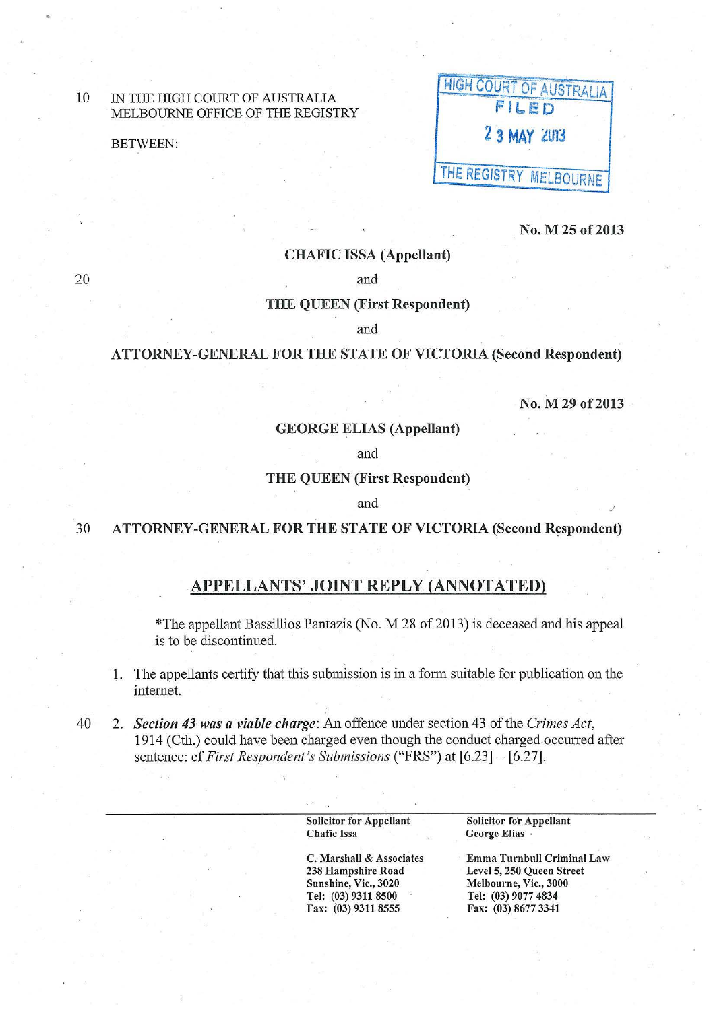## 10 IN THE HIGH COURT OF AUSTRALIA MELBOURNE OFFICE OF THE REGISTRY

20

|                 | IN THE HIGH COURT OF AUSTRALIA<br>MELBOURNE OFFICE OF THE REGISTRY | <b>HIGH COURT OF AUSTRALIA'</b> |
|-----------------|--------------------------------------------------------------------|---------------------------------|
| <b>BETWEEN:</b> |                                                                    | <b>2 3 MAY 2013</b>             |
|                 |                                                                    | <b>ITHE REGISTRY MELBOURNE</b>  |

No. M 25 of 2013

#### CHAFIC ISSA (Appellant)

and

### THE QUEEN (First Respondent)

and

## ATTORNEY -GENERAL FOR THE STATE OF VICTORIA (Second Respondent)

No. M 29 of 2013

J

### GEORGE ELIAS (Appellant)

and

### THE QUEEN (First Respondent)

and

# 30 ATTORNEY-GENERAL FOR THE STATE OF VICTORIA (Second Respondent)

## APPELLANTS' JOINT REPLY (ANNOTATED)

\*The appellant Bassillios Pantazis (No. M 28 of2013) is deceased and his appeal is to be discontinued.

- 1. The appellants certify that this submission is in a form suitable for publication on the internet.
- 40 2. *Section 43 was a viable charge:* An offence under section 43 of the *Crimes Act,*  1914 (Cth.) could have been charged even though the conduct charged occurred after sentence: cf *First Respondent's Submissions* ("FRS") at [6.23] - [6.27].

Solicitor for Appellant Chafic Issa

C. Marshall & Associates 238 Hampshire Road Sunshine, Vic., 3020 Tel: (03) 9311 8500 Fax: (03) 9311 8555

Solicitor for Appellant George Elias

Emma Turnbull Criminal Law Level 5, 250 Queen Street Melbourne, Vic., 3000 Tel: (03) 9077 4834 Fax: (03) 8677 3341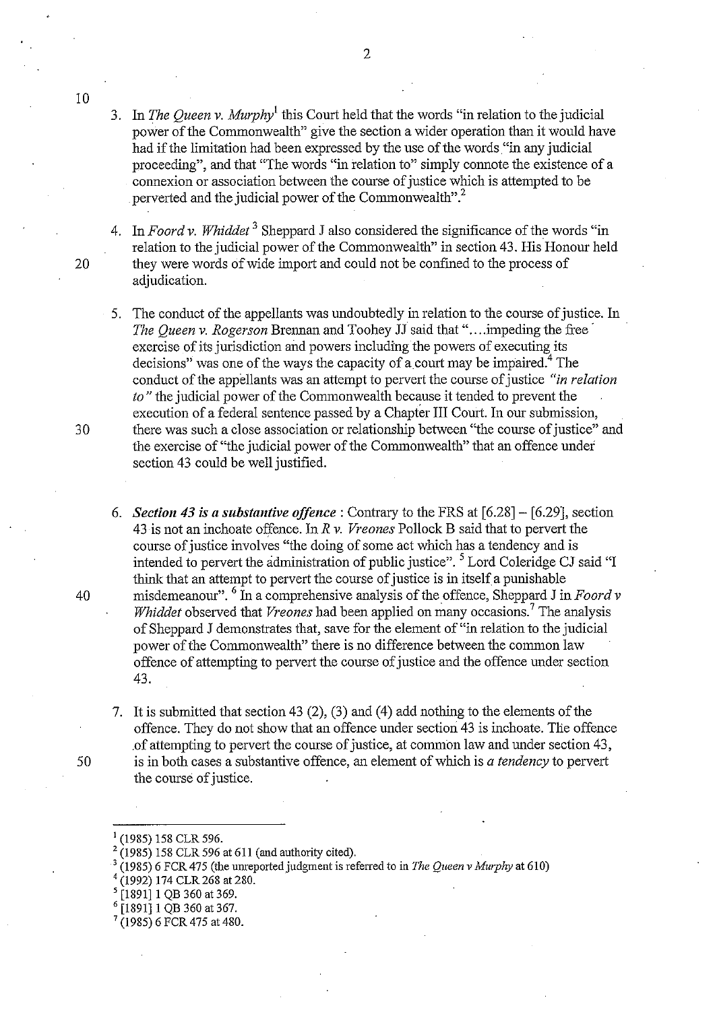4. In *Foard v. Whiddet* 3 Sheppard J also considered the significance of the words "in relation to the judicial power of the Commonwealth" in section 43. His Honour held 20 they were words of wide import and could not be confmed to the process of adjudication.

- 5. The conduct of the appellants was undoubtedly in relation to the course of justice. In *The Queen v. Rogerson* Brennan and Toohey JJ said that "....impeding the free exercise of its jurisdiction and powers including the powers of executing its decisions" was one of the ways the capacity of a court may be impaired.<sup>4</sup> The conduct of the appellants was an attempt to pervert the course of justice *"in relation to"* the judicial power of the Commonwealth because it tended to prevent the execution of a federal sentence passed by a Chapter III Court. In our submission, 30 there was such a close association or relationship between "the course of justice" and the exercise of "the judicial power of the Commonwealth" that an offence under section 43 could be well justified.
- 6. *Section 43 is a substantive offence:* Contrary to the FRS at [6.28]- [6.29], section 43 is not an inchoate offence. In *R v. Vreones* Pollock B said that to pervert the course of justice involves "the doing of some act which has a tendency and is intended to pervert the administration of public justice". <sup>5</sup> Lord Coleridge CJ said "I think that an attempt to pervert the course of justice is in itself a punishable 40 misdemeanour". 6 In a comprehensive analysis of the offence, Sheppard J in *Foard v Whiddet* observed that *Vreones* had been applied on many occasions.<sup>7</sup> The analysis of Sheppard J demonstrates that, save for the element of "in relation to the judicial power of the Commonwealth" there is no difference between the common law offence of attempting to pervert the course of justice and the offence under section 43.
- 7. It is submitted that section 43 (2), (3) and (4) add nothing to the elements of the offence. They do not show that an offence under section 43 is inchoate. The offence .of attempting to pervert the course of justice, at common law and under section 43, 50 is in both cases a substantive offence, an element of which is *a tendency* to pervert the course of justice.
	- 1 (1985) 158 CLR 596.
	- 2 (1985) 158 CLR 596 at 611 (and authority cited).
	- (1985) 6 FCR 475 (the unreported judgment is referred to in *The Queen v Murphy* at 610) (1992) 174 CLR 268 at 280.<br>(1992) 174 CLR 268 at 280.
	-
	-
	-
	- [1891] 1 QB 360 at 367.<br>(1985) 6 FCR 475 at 480.

2

10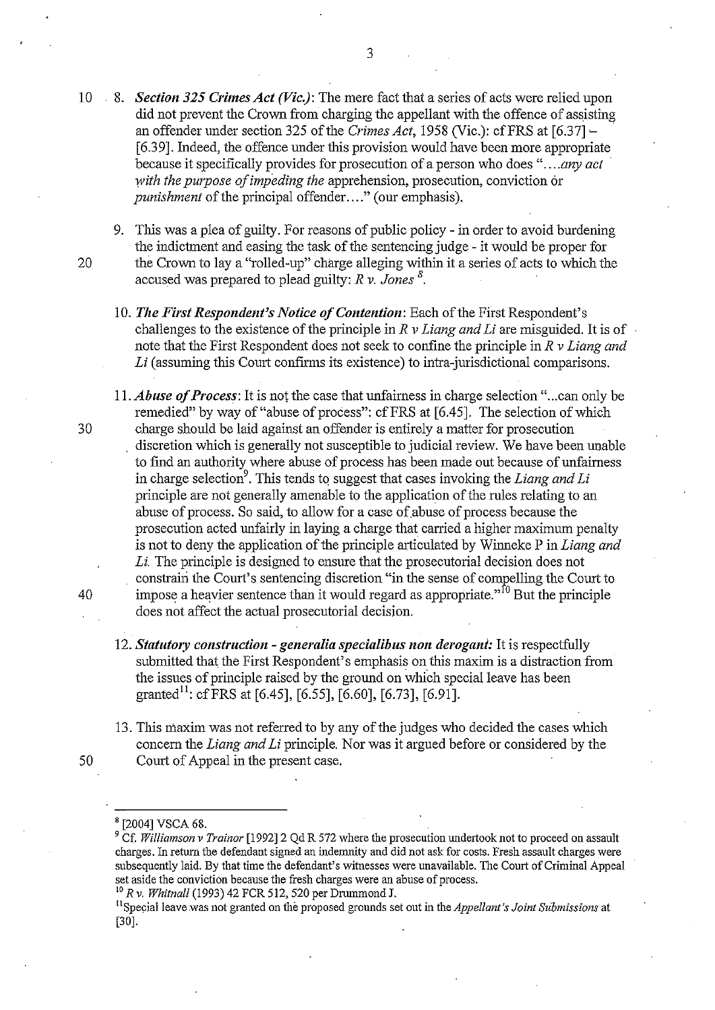10 8. *Section 325 Crimes Act (Vic.):* The mere fact that a series of acts were relied upon did not prevent the Crown from charging the appellant with the offence of assisting an offender under section 325 of the *Crimes Act*, 1958 (Vic.): cf FRS at [6.37] – [6.39]. Indeed, the offence under this provision would have been more appropriate because it specifically provides for prosecution of a person who does *" .... any act with the purpose of impeding the* apprehension, prosecution, conviction or *punishment* of the principal offender...." (our emphasis).

9. This was a plea of guilty. For reasons of public policy - in order to avoid burdening the indictment and easing the task of the sentencing judge - it would be proper for 20 the Crown to lay a "rolled-up" charge alleging within it a series of acts to which the accused was prepared to plead guilty: *R v. Jones <sup>8</sup> •* 

- 10. *The First Respondent's Notice of Contention:* Each of the First Respondent's challenges to the existence of the principle in *R v Liang and Li* are misguided. It is of note that the First Respondent does not seek to confine the principle in *R v Liang and*  Li (assuming this Court confirms its existence) to intra-jurisdictional comparisons.
- 11. *Abuse of Process:* It is not the case that unfairness in charge selection " ... can only be remedied" by way of "abuse of process": cf FRS at [6.45]. The selection of which charge should be laid against an offender is entirely a matter for prosecution discretion which is generally not susceptible to judicial review. We have been unable to find an authority where abuse of process has been made out because of unfairness in charge selection<sup>9</sup>. This tends to suggest that cases invoking the *Liang and Li* principle are not generally amenable to the application of the rules relating to an abuse of process. So said, to allow for a case of abuse of process because the prosecution acted unfairly in laying a charge that carried a higher maximum penalty is not to deny the application of the principle articulated by Winneke P in *Liang and Li.* The principle is designed to ensure that the prosecutorial decision does not constrain the Court's sentencing discretion "in the sense of compelling the Court to impose a heavier sentence than it would regard as appropriate."<sup>10</sup> But the principle does not affect the actual prosecutorial decision.
- 12. *Statutory construction generalia specialibus non derogant:* It is respectfully submitted that the First Respondent's emphasis on this maxim is a distraction from the issues of principle raised by the ground on which special leave has been granted<sup>11</sup>: cf FRS at [6.45], [6.55], [6.60], [6.73], [6.91].
- 13. This maxim was not referred to by any of the judges who decided the cases which concern the *Liang and Li* principle. Nor was it argued before or considered by the 50 Court of Appeal in the present case.

30

40

<sup>10</sup>*R v. Whitnall* (1993) 42 FCR 512, 520 per Drummond J.

<sup>8 [2004]</sup> VSCA 68.

<sup>&</sup>lt;sup>9</sup> Cf. *Williamson v Trainor* [1992] 2 Qd R 572 where the prosecution undertook not to proceed on assault charges. In return the defendant signed an indemnity and did not ask for costs. Fresh assault charges were subsequently laid. By that time the defendant's witnesses were unavailable. The Court of Criminal Appeal set aside the conviction because the fresh charges were an abuse of process.

<sup>&</sup>lt;sup>11</sup> Special leave was not granted on the proposed grounds set out in the *Appellant's Joint Submissions* at [30].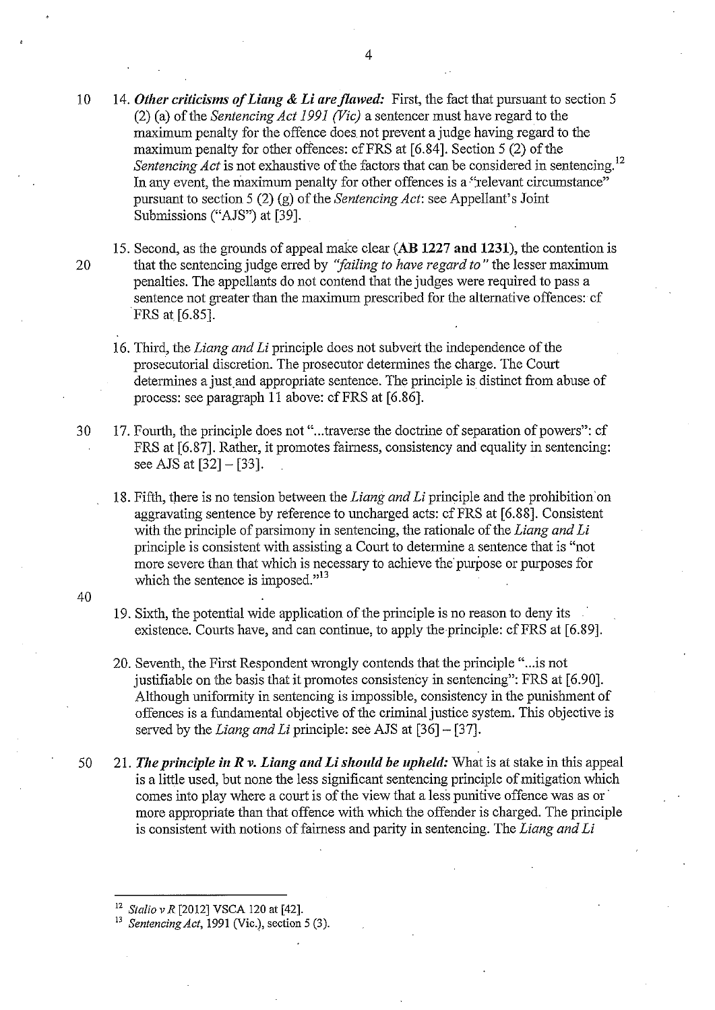10 14. *Other criticisms of Liang* **& Li** *are flawed:* First, the fact that pursuant to section 5 (2) (a) of the *Sentencing Act 1991 (Vic)* a sentencer must have regard to the maximum penalty for the offence does. not prevent a judge having regard to the maximum penalty for other offences: cf FRS at [6.84]. Section 5 (2) of the *Sentencing Act* is not exhaustive of the factors that can be considered in sentencing.<sup>12</sup> In any event, the maximum penalty for other offences is a "relevant circumstance" pursuant to section 5 (2) (g) of the *Sentencing Act:* see Appellant's Joint Submissions ("AJS") at [39].

- 15. Second, as the grounds of appeal make clear **(AB 1227 and 1231),** the contention is 20 that the sentencing judge erred by *''failing to have regard to"* the lesser maximum penalties. The appellants do not contend that the judges were required to pass a sentence not greater than the maximum prescribed for the alternative offences: cf FRS at [6.85].
	- 16. Third, the *Liang and Li* principle does not subvert the independence of the prosecutorial discretion. The prosecutor determines the charge. The Court determines a just and appropriate sentence. The principle is distinct from abuse of process: see paragraph 11 above: cfFRS at [6.86}.
- 30 17. Fourth, the principle does not "...traverse the doctrine of separation of powers": cf FRS at [6.87]. Rather, it promotes fairness, consistency and equality in sentencing: see AJS at [32]- [33].
	- 18. Fifth, there is no tension between the *Liang and Li* principle and the prohibition·on aggravating sentence by reference to uncharged acts: cf FRS at [6.88]. Consistent with the principle of parsimony in sentencing, the rationale of the *Liang and Li* principle is consistent with assisting a Court to determine a sentence that is "not more severe than that which is necessary to achieve the purpose or purposes for which the sentence is imposed."<sup>13</sup>
- 40
- 19. Sixth, the potential wide application of the principle is no reason to deny its existence. Courts have, and can continue, to apply the principle: cf FRS at [6.89].
- 20. Seventh, the First Respondent wrongly contends that the principle "... is not justifiable on the basis that it promotes consistency in sentencing": FRS at [6.90]. Although uniformity in sentencing is impossible, consistency in the punishment of offences is a fundamental objective of the criminal justice system. This objective is served by the *Liang and Li* principle: see AJS at [36] - [37].
- 50 21. *The principle* **in** *R v. Liang and* **Li** *should be upheld:* What is at stake in this appeal is a little used, but none the less significant sentencing principle of mitigation which comes into play where a court is of the view that a less punitive offence was as or more appropriate than that offence with which the offender is charged. The principle is consistent with notions of fairness and parity in sentencing. The *Liang and Li*

<sup>&</sup>lt;sup>12</sup> *Stalio v R* [2012] VSCA 120 at [42].<br><sup>13</sup> *Sentencing Act*, 1991 (Vic.), section 5 (3).